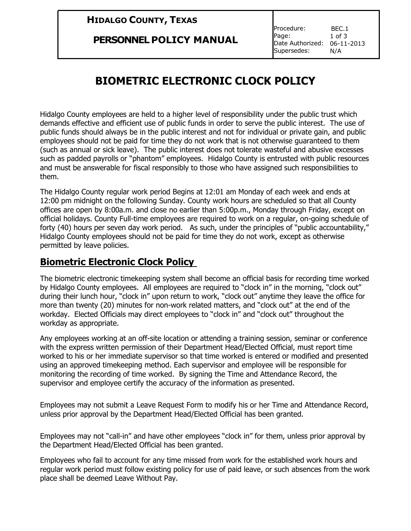## **HIDALGO COUNTY, TEXAS**

#### **PERSONNEL POLICY MANUAL**

Procedure: Page: Date Authorized: 06-11-2013 Supersedes: BEC.1 1 of 3 N/A

# **BIOMETRIC ELECTRONIC CLOCK POLICY**

Hidalgo County employees are held to a higher level of responsibility under the public trust which demands effective and efficient use of public funds in order to serve the public interest. The use of public funds should always be in the public interest and not for individual or private gain, and public employees should not be paid for time they do not work that is not otherwise guaranteed to them (such as annual or sick leave). The public interest does not tolerate wasteful and abusive excesses such as padded payrolls or "phantom" employees. Hidalgo County is entrusted with public resources and must be answerable for fiscal responsibly to those who have assigned such responsibilities to them.

The Hidalgo County regular work period Begins at 12:01 am Monday of each week and ends at 12:00 pm midnight on the following Sunday. County work hours are scheduled so that all County offices are open by 8:00a.m. and close no earlier than 5:00p.m., Monday through Friday, except on official holidays. County Full-time employees are required to work on a regular, on-going schedule of forty (40) hours per seven day work period. As such, under the principles of "public accountability," Hidalgo County employees should not be paid for time they do not work, except as otherwise permitted by leave policies.

## **Biometric Electronic Clock Policy**

The biometric electronic timekeeping system shall become an official basis for recording time worked by Hidalgo County employees. All employees are required to "clock in" in the morning, "clock out" during their lunch hour, "clock in" upon return to work, "clock out" anytime they leave the office for more than twenty (20) minutes for non-work related matters, and "clock out" at the end of the workday. Elected Officials may direct employees to "clock in" and "clock out" throughout the workday as appropriate.

Any employees working at an off-site location or attending a training session, seminar or conference with the express written permission of their Department Head/Elected Official, must report time worked to his or her immediate supervisor so that time worked is entered or modified and presented using an approved timekeeping method. Each supervisor and employee will be responsible for monitoring the recording of time worked. By signing the Time and Attendance Record, the supervisor and employee certify the accuracy of the information as presented.

Employees may not submit a Leave Request Form to modify his or her Time and Attendance Record, unless prior approval by the Department Head/Elected Official has been granted.

Employees may not "call-in" and have other employees "clock in" for them, unless prior approval by the Department Head/Elected Official has been granted.

Employees who fail to account for any time missed from work for the established work hours and regular work period must follow existing policy for use of paid leave, or such absences from the work place shall be deemed Leave Without Pay.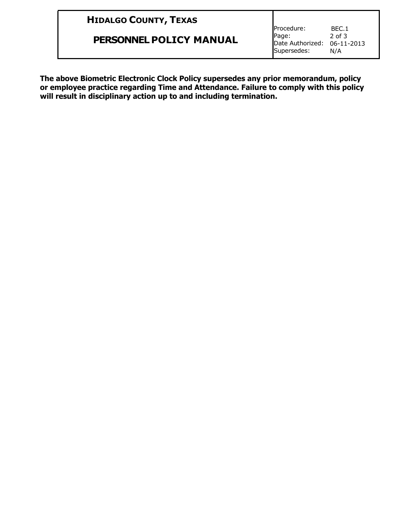|  | <b>HIDALGO COUNTY, TEXAS</b> |  |
|--|------------------------------|--|
|--|------------------------------|--|

**PERSONNEL POLICY MANUAL**

Procedure: Page: Date Authorized: 06-11-2013 Supersedes: BEC.1 2 of 3 N/A

**The above Biometric Electronic Clock Policy supersedes any prior memorandum, policy or employee practice regarding Time and Attendance. Failure to comply with this policy will result in disciplinary action up to and including termination.**